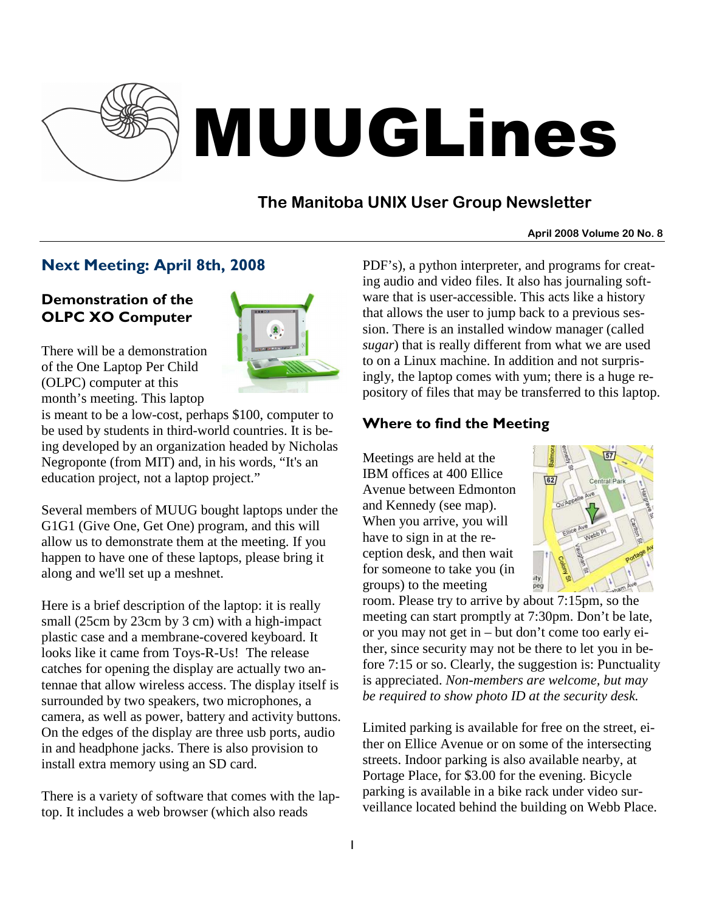

# MUUGLines

# **The Manitoba UNIX User Group Newsletter**

#### **April 2008 Volume 20 No. 8**

## Next Meeting: April 8th, 2008

### Demonstration of the OLPC XO Computer



There will be a demonstration of the One Laptop Per Child (OLPC) computer at this month's meeting. This laptop

is meant to be a low-cost, perhaps \$100, computer to be used by students in third-world countries. It is being developed by an organization headed by Nicholas Negroponte (from MIT) and, in his words, "It's an education project, not a laptop project."

Several members of MUUG bought laptops under the G1G1 (Give One, Get One) program, and this will allow us to demonstrate them at the meeting. If you happen to have one of these laptops, please bring it along and we'll set up a meshnet.

Here is a brief description of the laptop: it is really small (25cm by 23cm by 3 cm) with a high-impact plastic case and a membrane-covered keyboard. It looks like it came from Toys-R-Us! The release catches for opening the display are actually two antennae that allow wireless access. The display itself is surrounded by two speakers, two microphones, a camera, as well as power, battery and activity buttons. On the edges of the display are three usb ports, audio in and headphone jacks. There is also provision to install extra memory using an SD card.

There is a variety of software that comes with the laptop. It includes a web browser (which also reads

PDF's), a python interpreter, and programs for creating audio and video files. It also has journaling software that is user-accessible. This acts like a history that allows the user to jump back to a previous session. There is an installed window manager (called *sugar*) that is really different from what we are used to on a Linux machine. In addition and not surprisingly, the laptop comes with yum; there is a huge repository of files that may be transferred to this laptop.

## Where to find the Meeting

Meetings are held at the IBM offices at 400 Ellice Avenue between Edmonton and Kennedy (see map). When you arrive, you will have to sign in at the reception desk, and then wait for someone to take you (in groups) to the meeting



room. Please try to arrive by about 7:15pm, so the meeting can start promptly at 7:30pm. Don't be late, or you may not get in – but don't come too early either, since security may not be there to let you in before 7:15 or so. Clearly, the suggestion is: Punctuality is appreciated. *Non-members are welcome, but may be required to show photo ID at the security desk.*

Limited parking is available for free on the street, either on Ellice Avenue or on some of the intersecting streets. Indoor parking is also available nearby, at Portage Place, for \$3.00 for the evening. Bicycle parking is available in a bike rack under video surveillance located behind the building on Webb Place.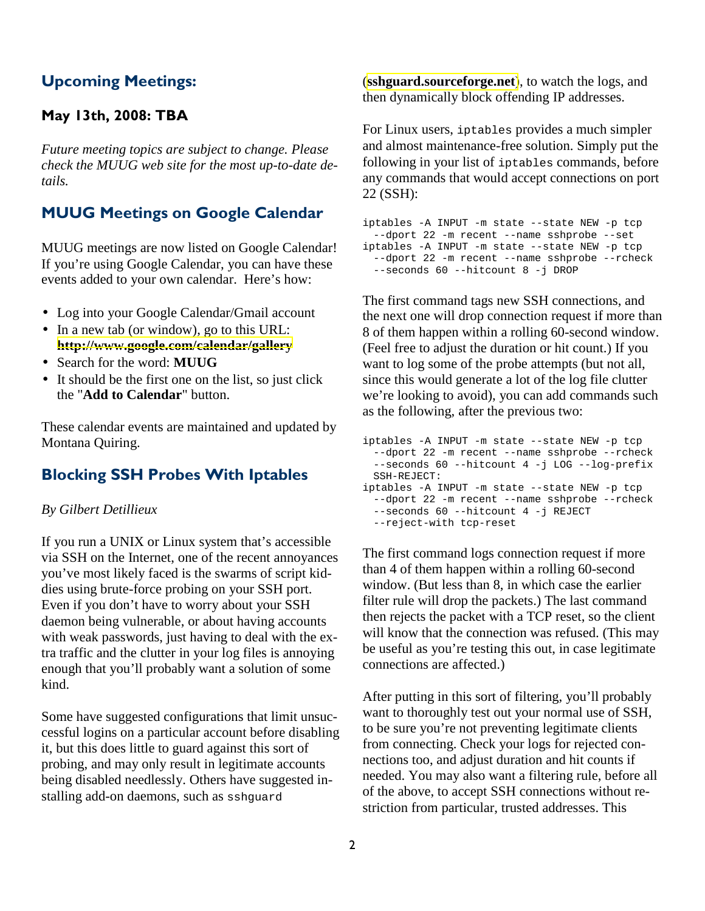## Upcoming Meetings:

#### May 13th, 2008: TBA

*Future meeting topics are subject to change. Please check the MUUG web site for the most up-to-date details.* 

## MUUG Meetings on Google Calendar

MUUG meetings are now listed on Google Calendar! If you're using Google Calendar, you can have these events added to your own calendar. Here's how:

- Log into your Google Calendar/Gmail account
- In a new tab (or window), go to this URL: **<http://www.google.com/calendar/gallery>**
- Search for the word: **MUUG**
- It should be the first one on the list, so just click the "**Add to Calendar**" button.

These calendar events are maintained and updated by Montana Quiring.

### Blocking SSH Probes With Iptables

#### *By Gilbert Detillieux*

If you run a UNIX or Linux system that's accessible via SSH on the Internet, one of the recent annoyances you've most likely faced is the swarms of script kiddies using brute-force probing on your SSH port. Even if you don't have to worry about your SSH daemon being vulnerable, or about having accounts with weak passwords, just having to deal with the extra traffic and the clutter in your log files is annoying enough that you'll probably want a solution of some kind.

Some have suggested configurations that limit unsuccessful logins on a particular account before disabling it, but this does little to guard against this sort of probing, and may only result in legitimate accounts being disabled needlessly. Others have suggested installing add-on daemons, such as sshguard

(**[sshguard.sourceforge.net](http://sshguard.sourceforge.net/)**), to watch the logs, and then dynamically block offending IP addresses.

For Linux users, iptables provides a much simpler and almost maintenance-free solution. Simply put the following in your list of iptables commands, before any commands that would accept connections on port 22 (SSH):

iptables -A INPUT -m state --state NEW -p tcp --dport 22 -m recent --name sshprobe --set iptables -A INPUT -m state --state NEW -p tcp --dport 22 -m recent --name sshprobe --rcheck --seconds 60 --hitcount 8 -j DROP

The first command tags new SSH connections, and the next one will drop connection request if more than 8 of them happen within a rolling 60-second window. (Feel free to adjust the duration or hit count.) If you want to log some of the probe attempts (but not all, since this would generate a lot of the log file clutter we're looking to avoid), you can add commands such as the following, after the previous two:

```
iptables -A INPUT -m state --state NEW -p tcp 
 --dport 22 -m recent --name sshprobe --rcheck 
 --seconds 60 --hitcount 4 -j LOG --log-prefix 
 SSH-REJECT: 
iptables -A INPUT -m state --state NEW -p tcp 
 --dport 22 -m recent --name sshprobe --rcheck 
 --seconds 60 --hitcount 4 -j REJECT 
 --reject-with tcp-reset
```
The first command logs connection request if more than 4 of them happen within a rolling 60-second window. (But less than 8, in which case the earlier filter rule will drop the packets.) The last command then rejects the packet with a TCP reset, so the client will know that the connection was refused. (This may be useful as you're testing this out, in case legitimate connections are affected.)

After putting in this sort of filtering, you'll probably want to thoroughly test out your normal use of SSH, to be sure you're not preventing legitimate clients from connecting. Check your logs for rejected connections too, and adjust duration and hit counts if needed. You may also want a filtering rule, before all of the above, to accept SSH connections without restriction from particular, trusted addresses. This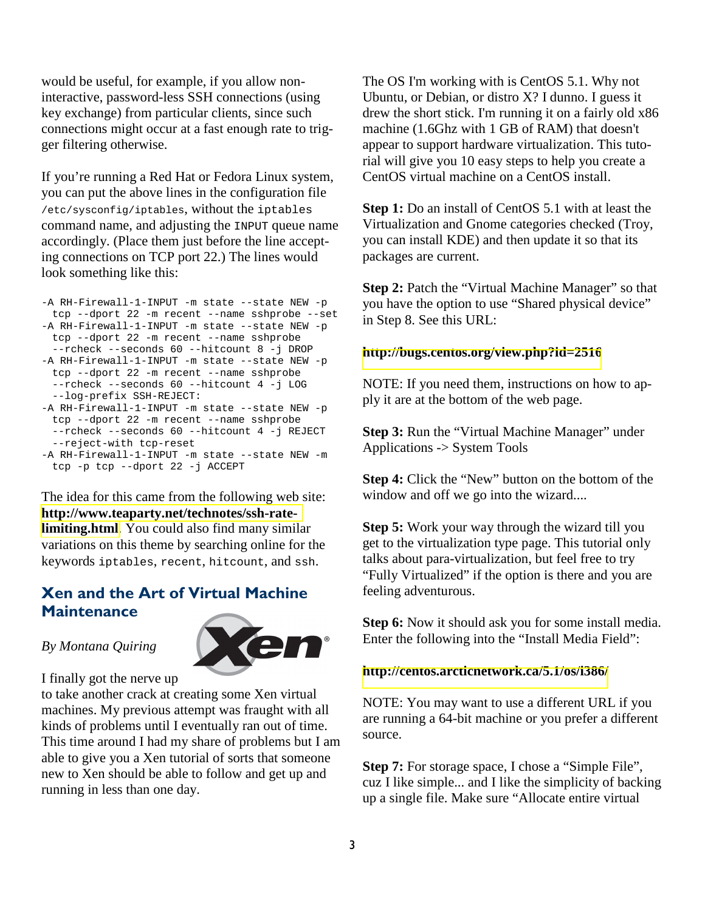would be useful, for example, if you allow noninteractive, password-less SSH connections (using key exchange) from particular clients, since such connections might occur at a fast enough rate to trigger filtering otherwise.

If you're running a Red Hat or Fedora Linux system, you can put the above lines in the configuration file /etc/sysconfig/iptables, without the iptables command name, and adjusting the INPUT queue name accordingly. (Place them just before the line accepting connections on TCP port 22.) The lines would look something like this:

```
-A RH-Firewall-1-INPUT -m state --state NEW -p 
 tcp --dport 22 -m recent --name sshprobe --set 
-A RH-Firewall-1-INPUT -m state --state NEW -p 
 tcp --dport 22 -m recent --name sshprobe 
 --rcheck --seconds 60 --hitcount 8 -j DROP 
-A RH-Firewall-1-INPUT -m state --state NEW -p 
 tcp --dport 22 -m recent --name sshprobe 
 --rcheck --seconds 60 --hitcount 4 -j LOG 
 --log-prefix SSH-REJECT: 
-A RH-Firewall-1-INPUT -m state --state NEW -p 
 tcp --dport 22 -m recent --name sshprobe 
 --rcheck --seconds 60 --hitcount 4 -j REJECT 
 --reject-with tcp-reset
```

```
-A RH-Firewall-1-INPUT -m state --state NEW -m 
 tcp -p tcp --dport 22 -j ACCEPT
```
The idea for this came from the following web site: **[http://www.teaparty.net/technotes/ssh-rate](http://www.teaparty.net/technotes/ssh-rate-limiting.html)[limiting.html](http://www.teaparty.net/technotes/ssh-rate-limiting.html)**. You could also find many similar variations on this theme by searching online for the keywords iptables, recent, hitcount, and ssh.

## Xen and the Art of Virtual Machine **Maintenance**

#### *By Montana Quiring*



I finally got the nerve up

to take another crack at creating some Xen virtual machines. My previous attempt was fraught with all kinds of problems until I eventually ran out of time. This time around I had my share of problems but I am able to give you a Xen tutorial of sorts that someone new to Xen should be able to follow and get up and running in less than one day.

The OS I'm working with is CentOS 5.1. Why not Ubuntu, or Debian, or distro X? I dunno. I guess it drew the short stick. I'm running it on a fairly old x86 machine (1.6Ghz with 1 GB of RAM) that doesn't appear to support hardware virtualization. This tutorial will give you 10 easy steps to help you create a CentOS virtual machine on a CentOS install.

**Step 1:** Do an install of CentOS 5.1 with at least the Virtualization and Gnome categories checked (Troy, you can install KDE) and then update it so that its packages are current.

**Step 2:** Patch the "Virtual Machine Manager" so that you have the option to use "Shared physical device" in Step 8. See this URL:

#### **<http://bugs.centos.org/view.php?id=2516>**

NOTE: If you need them, instructions on how to apply it are at the bottom of the web page.

**Step 3: Run the "Virtual Machine Manager" under** Applications -> System Tools

**Step 4:** Click the "New" button on the bottom of the window and off we go into the wizard....

**Step 5:** Work your way through the wizard till you get to the virtualization type page. This tutorial only talks about para-virtualization, but feel free to try "Fully Virtualized" if the option is there and you are feeling adventurous.

**Step 6:** Now it should ask you for some install media. Enter the following into the "Install Media Field":

#### **<http://centos.arcticnetwork.ca/5.1/os/i386/>**

NOTE: You may want to use a different URL if you are running a 64-bit machine or you prefer a different source.

**Step 7:** For storage space, I chose a "Simple File", cuz I like simple... and I like the simplicity of backing up a single file. Make sure "Allocate entire virtual